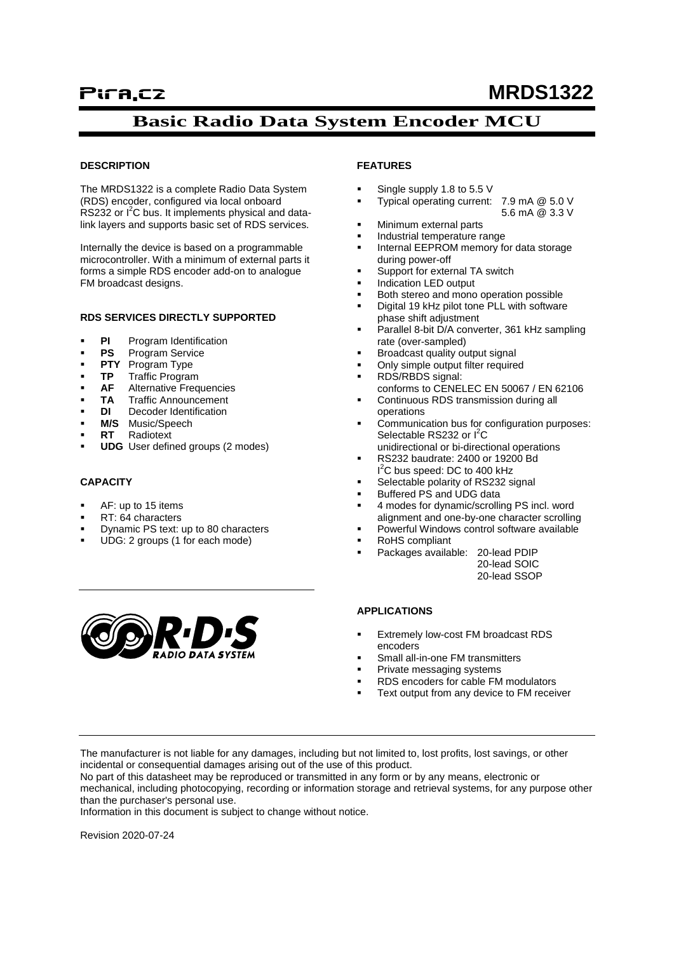# **Basic Radio Data System Encoder MCU**

#### **DESCRIPTION**

The MRDS1322 is a complete Radio Data System (RDS) encoder, configured via local onboard RS232 or I<sup>2</sup>C bus. It implements physical and datalink layers and supports basic set of RDS services.

Internally the device is based on a programmable microcontroller. With a minimum of external parts it forms a simple RDS encoder add-on to analogue FM broadcast designs.

#### **RDS SERVICES DIRECTLY SUPPORTED**

- **PI** Program Identification<br>**PS** Program Service
- **Program Service**
- **PTY** Program Type
- **TP** Traffic Program
- **AF** Alternative Frequencies
- **TA** Traffic Announcement
- **DI** Decoder Identification
- **M/S** Music/Speech
- **RT** Radiotext
- **UDG** User defined groups (2 modes)

#### **CAPACITY**

- AF: up to 15 items
- RT: 64 characters
- Dynamic PS text: up to 80 characters
- UDG: 2 groups (1 for each mode)

#### **FEATURES**

- Single supply 1.8 to 5.5 V
- Typical operating current: 7.9 mA @ 5.0 V 5.6 mA @ 3.3 V
- Minimum external parts
- Industrial temperature range
- Internal EEPROM memory for data storage during power-off
- Support for external TA switch
- Indication LED output
- Both stereo and mono operation possible Digital 19 kHz pilot tone PLL with software
- phase shift adjustment Parallel 8-bit D/A converter, 361 kHz sampling
- rate (over-sampled)
- Broadcast quality output signal
- Only simple output filter required
- RDS/RBDS signal:
- conforms to CENELEC EN 50067 / EN 62106 Continuous RDS transmission during all operations
- Communication bus for configuration purposes: Selectable RS232 or  $I^2C$
- unidirectional or bi-directional operations
- RS232 baudrate: 2400 or 19200 Bd I<sup>2</sup>C bus speed: DC to 400 kHz
- Selectable polarity of RS232 signal
- Buffered PS and UDG data
- 4 modes for dynamic/scrolling PS incl. word alignment and one-by-one character scrolling
- Powerful Windows control software available
- RoHS compliant
- Packages available: 20-lead PDIP 20-lead SOIC

20-lead SSOP



- Extremely low-cost FM broadcast RDS encoders
- Small all-in-one FM transmitters
- Private messaging systems
- RDS encoders for cable FM modulators
- Text output from any device to FM receiver

The manufacturer is not liable for any damages, including but not limited to, lost profits, lost savings, or other incidental or consequential damages arising out of the use of this product.

No part of this datasheet may be reproduced or transmitted in any form or by any means, electronic or mechanical, including photocopying, recording or information storage and retrieval systems, for any purpose other than the purchaser's personal use.

Information in this document is subject to change without notice.

Revision 2020-07-24

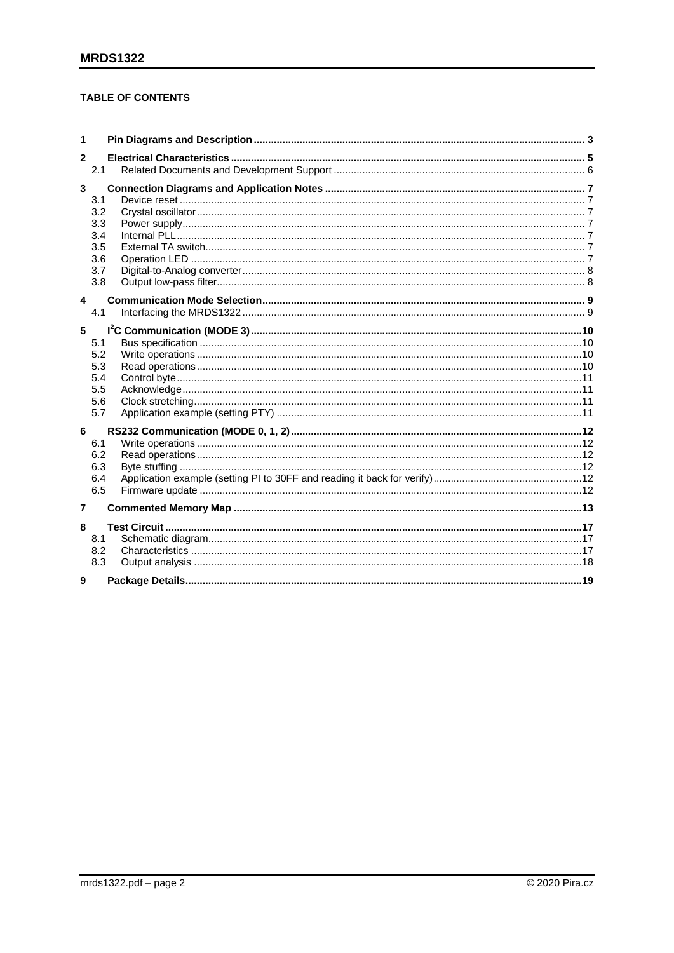## **TABLE OF CONTENTS**

| 1            |                                                      |  |
|--------------|------------------------------------------------------|--|
| $\mathbf{2}$ |                                                      |  |
|              | 2.1                                                  |  |
| 3            | 3.1<br>3.2<br>3.3<br>3.4<br>3.5<br>3.6<br>3.7<br>3.8 |  |
| 4            |                                                      |  |
|              | 4.1                                                  |  |
| 5            | 5.1<br>5.2<br>5.3<br>5.4<br>5.5<br>5.6<br>5.7        |  |
| 6            | 6.1<br>6.2<br>6.3<br>6.4<br>6.5                      |  |
| 7            |                                                      |  |
| 8            | 8.1<br>8.2<br>8.3                                    |  |
| 9            |                                                      |  |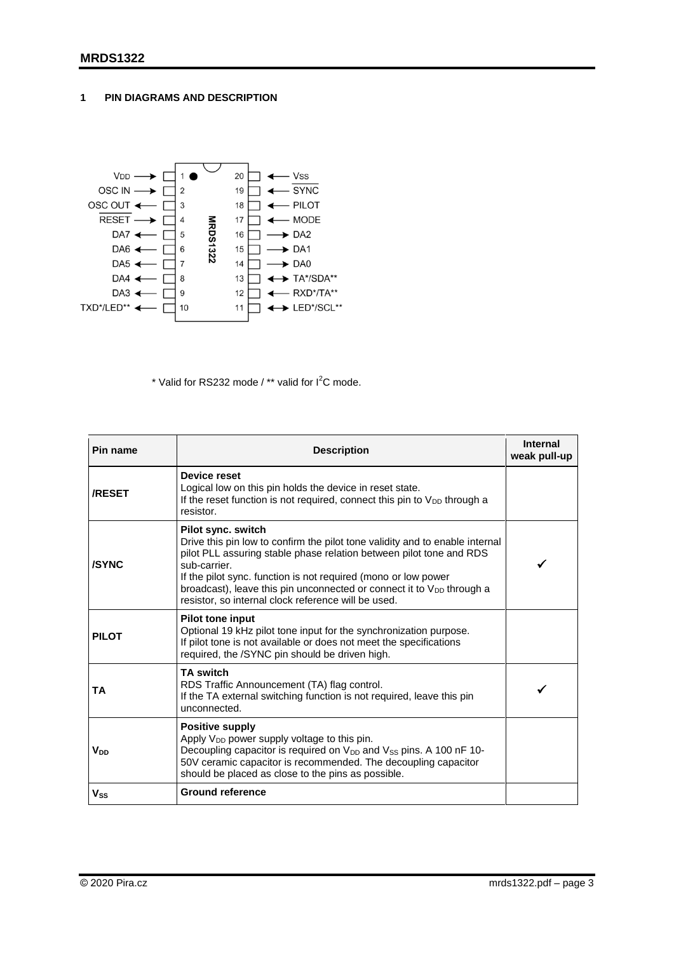## <span id="page-2-0"></span>**1 PIN DIAGRAMS AND DESCRIPTION**



\* Valid for RS232 mode / \*\* valid for  $I^2C$  mode.

| Pin name      | <b>Description</b>                                                                                                                                                                                                                                                                                                                                                                               | Internal<br>weak pull-up |
|---------------|--------------------------------------------------------------------------------------------------------------------------------------------------------------------------------------------------------------------------------------------------------------------------------------------------------------------------------------------------------------------------------------------------|--------------------------|
| <b>/RESET</b> | Device reset<br>Logical low on this pin holds the device in reset state.<br>If the reset function is not required, connect this pin to $V_{DD}$ through a<br>resistor.                                                                                                                                                                                                                           |                          |
| /SYNC         | Pilot sync. switch<br>Drive this pin low to confirm the pilot tone validity and to enable internal<br>pilot PLL assuring stable phase relation between pilot tone and RDS<br>sub-carrier.<br>If the pilot sync. function is not required (mono or low power<br>broadcast), leave this pin unconnected or connect it to $V_{DD}$ through a<br>resistor, so internal clock reference will be used. |                          |
| <b>PILOT</b>  | <b>Pilot tone input</b><br>Optional 19 kHz pilot tone input for the synchronization purpose.<br>If pilot tone is not available or does not meet the specifications<br>required, the /SYNC pin should be driven high.                                                                                                                                                                             |                          |
| TA            | <b>TA switch</b><br>RDS Traffic Announcement (TA) flag control.<br>If the TA external switching function is not required, leave this pin<br>unconnected.                                                                                                                                                                                                                                         |                          |
| Vnn           | <b>Positive supply</b><br>Apply $V_{DD}$ power supply voltage to this pin.<br>Decoupling capacitor is required on V <sub>DD</sub> and V <sub>SS</sub> pins. A 100 nF 10-<br>50V ceramic capacitor is recommended. The decoupling capacitor<br>should be placed as close to the pins as possible.                                                                                                 |                          |
| <b>Vss</b>    | <b>Ground reference</b>                                                                                                                                                                                                                                                                                                                                                                          |                          |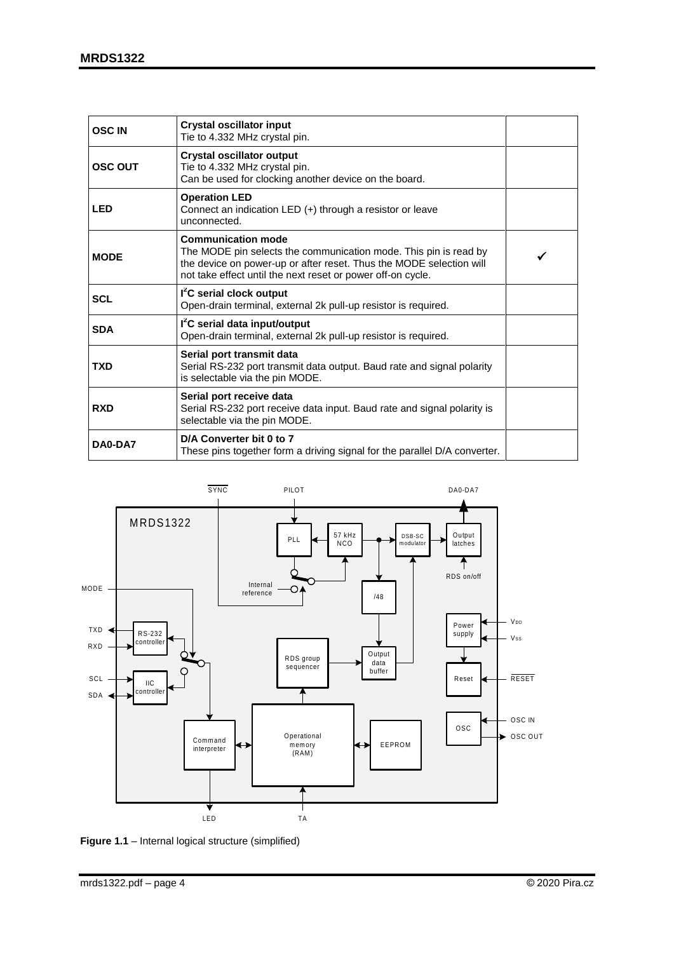| <b>OSC IN</b>  | <b>Crystal oscillator input</b><br>Tie to 4.332 MHz crystal pin.                                                                                                                                                                    |  |
|----------------|-------------------------------------------------------------------------------------------------------------------------------------------------------------------------------------------------------------------------------------|--|
| <b>OSC OUT</b> | <b>Crystal oscillator output</b><br>Tie to 4.332 MHz crystal pin.<br>Can be used for clocking another device on the board.                                                                                                          |  |
| <b>LED</b>     | <b>Operation LED</b><br>Connect an indication LED (+) through a resistor or leave<br>unconnected.                                                                                                                                   |  |
| <b>MODE</b>    | <b>Communication mode</b><br>The MODE pin selects the communication mode. This pin is read by<br>the device on power-up or after reset. Thus the MODE selection will<br>not take effect until the next reset or power off-on cycle. |  |
| <b>SCL</b>     | I <sup>2</sup> C serial clock output<br>Open-drain terminal, external 2k pull-up resistor is required.                                                                                                                              |  |
| <b>SDA</b>     | I <sup>2</sup> C serial data input/output<br>Open-drain terminal, external 2k pull-up resistor is required.                                                                                                                         |  |
| <b>TXD</b>     | Serial port transmit data<br>Serial RS-232 port transmit data output. Baud rate and signal polarity<br>is selectable via the pin MODE.                                                                                              |  |
| <b>RXD</b>     | Serial port receive data<br>Serial RS-232 port receive data input. Baud rate and signal polarity is<br>selectable via the pin MODE.                                                                                                 |  |
| DA0-DA7        | D/A Converter bit 0 to 7<br>These pins together form a driving signal for the parallel D/A converter.                                                                                                                               |  |



**Figure 1.1** – Internal logical structure (simplified)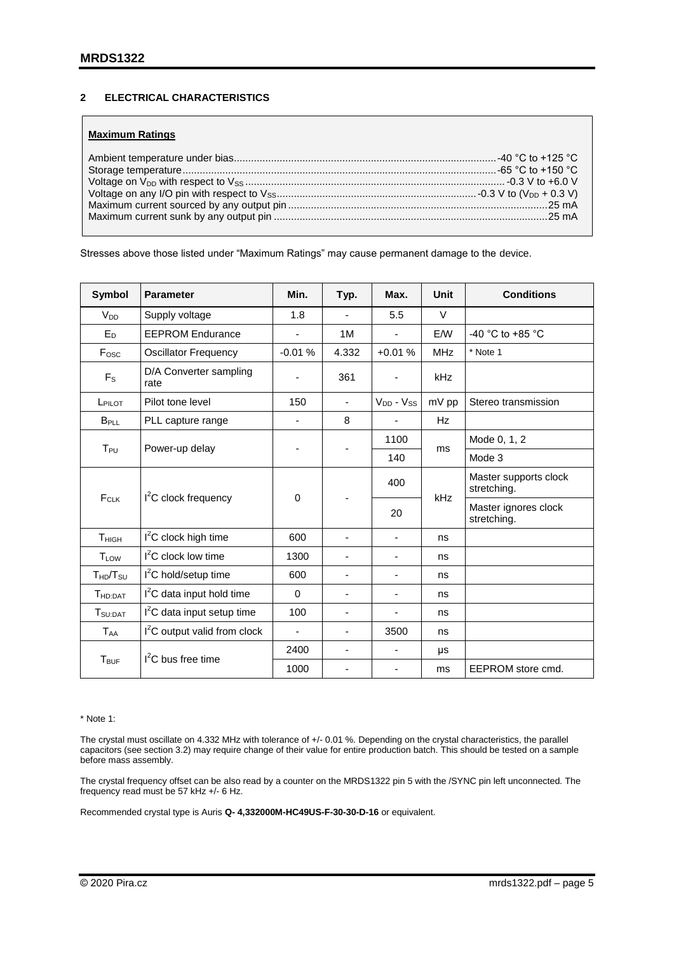## <span id="page-4-0"></span>**2 ELECTRICAL CHARACTERISTICS**

#### **Maximum Ratings**

Stresses above those listed under "Maximum Ratings" may cause permanent damage to the device.

| <b>Symbol</b>                    | <b>Parameter</b>                         | Min.                     | Typ.                     | Max.                     | Unit       | <b>Conditions</b>                    |
|----------------------------------|------------------------------------------|--------------------------|--------------------------|--------------------------|------------|--------------------------------------|
| V <sub>DD</sub>                  | Supply voltage                           | 1.8                      |                          | 5.5                      | $\vee$     |                                      |
| $E_D$                            | <b>EEPROM Endurance</b>                  | $\overline{\phantom{m}}$ | 1M                       | $\overline{\phantom{0}}$ | E/W        | -40 °C to +85 °C                     |
| Fosc                             | <b>Oscillator Frequency</b>              | $-0.01%$                 | 4.332                    | $+0.01%$                 | <b>MHz</b> | * Note 1                             |
| $F_S$                            | D/A Converter sampling<br>rate           |                          | 361                      |                          | kHz        |                                      |
| LPILOT                           | Pilot tone level                         | 150                      | $\overline{\phantom{a}}$ | $V_{DD} - V_{SS}$        | mV pp      | Stereo transmission                  |
| <b>B</b> <sub>PLL</sub>          | PLL capture range                        | ٠                        | 8                        | ۰                        | Hz         |                                      |
|                                  |                                          |                          |                          | 1100                     |            | Mode 0, 1, 2                         |
| T <sub>PU</sub>                  | Power-up delay                           |                          |                          | 140                      | ms         | Mode 3                               |
|                                  | $I2C$ clock frequency                    | 0                        |                          | 400                      | kHz        | Master supports clock<br>stretching. |
| FCLK                             |                                          |                          |                          | 20                       |            | Master ignores clock<br>stretching.  |
| T <sub>HIGH</sub>                | $I2C$ clock high time                    | 600                      | ÷,                       | $\overline{\phantom{0}}$ | ns         |                                      |
| <b>T</b> <sub>LOW</sub>          | $I2C$ clock low time                     | 1300                     |                          |                          | ns         |                                      |
| T <sub>HD</sub> /T <sub>SU</sub> | $I2C$ hold/setup time                    | 600                      | ÷,                       | -                        | ns         |                                      |
| T <sub>HD:DAT</sub>              | I <sup>2</sup> C data input hold time    | $\Omega$                 | $\blacksquare$           |                          | ns         |                                      |
| T <sub>SU:DAT</sub>              | $I2C$ data input setup time              | 100                      | ÷,                       | $\overline{\phantom{0}}$ | ns         |                                      |
| <b>TAA</b>                       | I <sup>2</sup> C output valid from clock | $\blacksquare$           | $\overline{\phantom{a}}$ | 3500                     | ns         |                                      |
|                                  | $I2C$ bus free time                      | 2400                     | ÷,                       | $\overline{\phantom{0}}$ | μs         |                                      |
| T <sub>BUF</sub>                 |                                          | 1000                     |                          |                          | ms         | EEPROM store cmd.                    |

\* Note 1:

The crystal must oscillate on 4.332 MHz with tolerance of +/- 0.01 %. Depending on the crystal characteristics, the parallel capacitors (see section 3.2) may require change of their value for entire production batch. This should be tested on a sample before mass assembly.

The crystal frequency offset can be also read by a counter on the MRDS1322 pin 5 with the /SYNC pin left unconnected. The frequency read must be 57 kHz +/- 6 Hz.

Recommended crystal type is Auris **Q- 4,332000M-HC49US-F-30-30-D-16** or equivalent.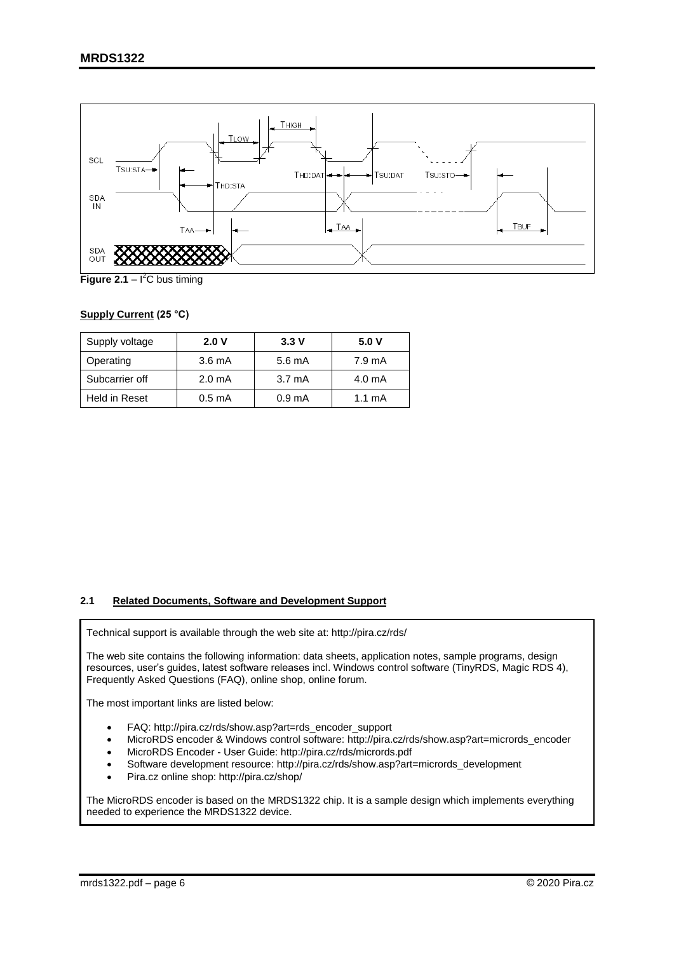

**Figure 2.1** – I<sup>2</sup>C bus timing

## **Supply Current (25 °C)**

| Supply voltage | 2.0V               | 3.3V               | 5.0V     |
|----------------|--------------------|--------------------|----------|
| Operating      | $3.6 \text{ mA}$   | 5.6 mA             | 7.9 mA   |
| Subcarrier off | 2.0 <sub>m</sub> A | $3.7 \text{ mA}$   | 4.0 mA   |
| Held in Reset  | 0.5 <sub>m</sub> A | 0.9 <sub>m</sub> A | 1.1 $mA$ |

#### <span id="page-5-0"></span>**2.1 Related Documents, Software and Development Support**

Technical support is available through the web site at: http://pira.cz/rds/

The web site contains the following information: data sheets, application notes, sample programs, design resources, user's guides, latest software releases incl. Windows control software (TinyRDS, Magic RDS 4), Frequently Asked Questions (FAQ), online shop, online forum.

The most important links are listed below:

- FAQ: http://pira.cz/rds/show.asp?art=rds\_encoder\_support
- MicroRDS encoder & Windows control software: http://pira.cz/rds/show.asp?art=micrords\_encoder
- MicroRDS Encoder User Guide: http://pira.cz/rds/micrords.pdf
- Software development resource: http://pira.cz/rds/show.asp?art=micrords\_development
- Pira.cz online shop: http://pira.cz/shop/

The MicroRDS encoder is based on the MRDS1322 chip. It is a sample design which implements everything needed to experience the MRDS1322 device.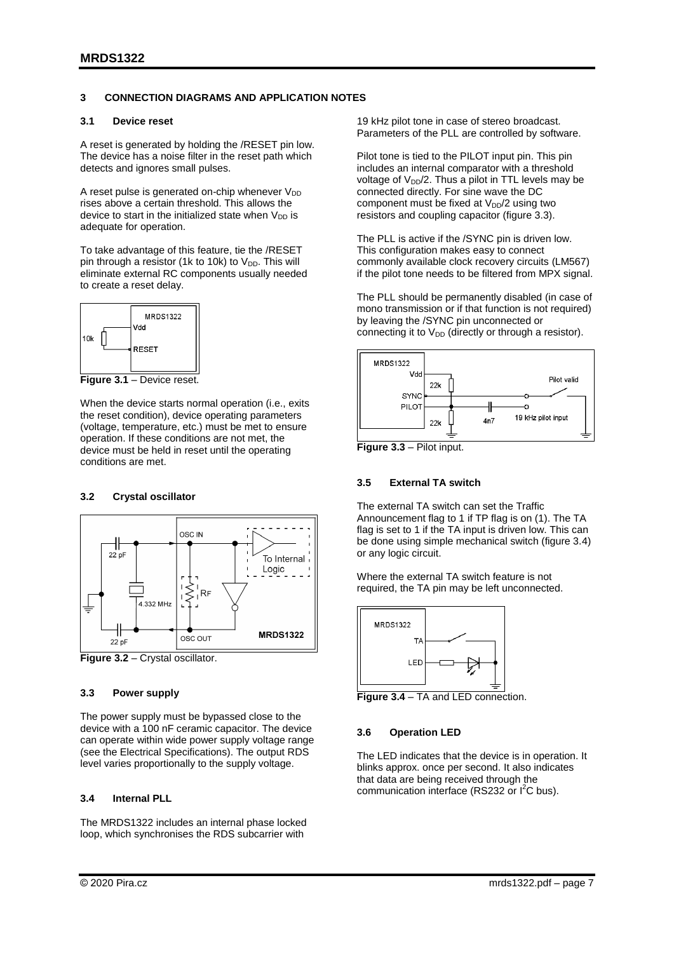#### <span id="page-6-0"></span>**3 CONNECTION DIAGRAMS AND APPLICATION NOTES**

#### <span id="page-6-1"></span>**3.1 Device reset**

A reset is generated by holding the /RESET pin low. The device has a noise filter in the reset path which detects and ignores small pulses.

A reset pulse is generated on-chip whenever  $V_{DD}$ rises above a certain threshold. This allows the device to start in the initialized state when  $V_{DD}$  is adequate for operation.

To take advantage of this feature, tie the /RESET pin through a resistor (1k to 10k) to  $V_{DD}$ . This will eliminate external RC components usually needed to create a reset delay.



**Figure 3.1** – Device reset.

When the device starts normal operation (i.e., exits the reset condition), device operating parameters (voltage, temperature, etc.) must be met to ensure operation. If these conditions are not met, the device must be held in reset until the operating conditions are met.

#### <span id="page-6-2"></span>**3.2 Crystal oscillator**



**Figure 3.2** – Crystal oscillator.

#### <span id="page-6-3"></span>**3.3 Power supply**

The power supply must be bypassed close to the device with a 100 nF ceramic capacitor. The device can operate within wide power supply voltage range (see the Electrical Specifications). The output RDS level varies proportionally to the supply voltage.

#### <span id="page-6-4"></span>**3.4 Internal PLL**

The MRDS1322 includes an internal phase locked loop, which synchronises the RDS subcarrier with

19 kHz pilot tone in case of stereo broadcast. Parameters of the PLL are controlled by software.

Pilot tone is tied to the PILOT input pin. This pin includes an internal comparator with a threshold voltage of  $V_{DD}/2$ . Thus a pilot in TTL levels may be connected directly. For sine wave the DC component must be fixed at  $V_{DD}/2$  using two resistors and coupling capacitor (figure 3.3).

The PLL is active if the /SYNC pin is driven low. This configuration makes easy to connect commonly available clock recovery circuits (LM567) if the pilot tone needs to be filtered from MPX signal.

The PLL should be permanently disabled (in case of mono transmission or if that function is not required) by leaving the /SYNC pin unconnected or connecting it to  $V_{DD}$  (directly or through a resistor).



**Figure 3.3** – Pilot input.

#### <span id="page-6-5"></span>**3.5 External TA switch**

The external TA switch can set the Traffic Announcement flag to 1 if TP flag is on (1). The TA flag is set to 1 if the TA input is driven low. This can be done using simple mechanical switch (figure 3.4) or any logic circuit.

Where the external TA switch feature is not required, the TA pin may be left unconnected.



**Figure 3.4** – TA and LED connection.

#### <span id="page-6-6"></span>**3.6 Operation LED**

The LED indicates that the device is in operation. It blinks approx. once per second. It also indicates that data are being received through the communication interface (RS232 or I<sup>2</sup>C bus).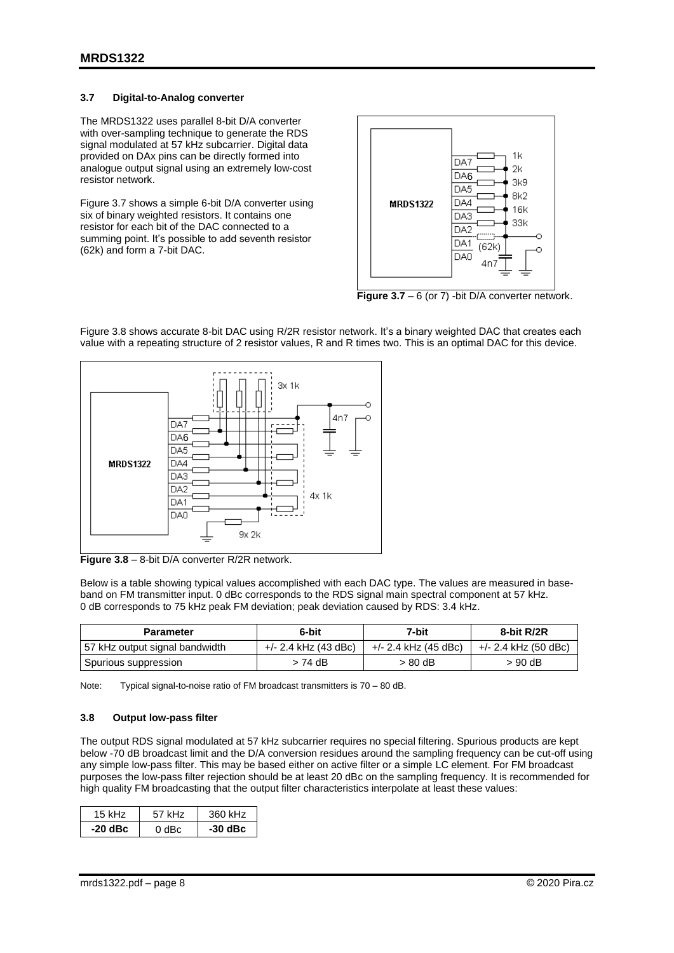#### <span id="page-7-0"></span>**3.7 Digital-to-Analog converter**

The MRDS1322 uses parallel 8-bit D/A converter with over-sampling technique to generate the RDS signal modulated at 57 kHz subcarrier. Digital data provided on DAx pins can be directly formed into analogue output signal using an extremely low-cost resistor network.

Figure 3.7 shows a simple 6-bit D/A converter using six of binary weighted resistors. It contains one resistor for each bit of the DAC connected to a summing point. It's possible to add seventh resistor (62k) and form a 7-bit DAC.



**Figure 3.7** – 6 (or 7) -bit D/A converter network.



Figure 3.8 shows accurate 8-bit DAC using R/2R resistor network. It's a binary weighted DAC that creates each value with a repeating structure of 2 resistor values, R and R times two. This is an optimal DAC for this device.

**Figure 3.8** – 8-bit D/A converter R/2R network.

Below is a table showing typical values accomplished with each DAC type. The values are measured in baseband on FM transmitter input. 0 dBc corresponds to the RDS signal main spectral component at 57 kHz. 0 dB corresponds to 75 kHz peak FM deviation; peak deviation caused by RDS: 3.4 kHz.

| <b>Parameter</b>               | 6-bit                | 7-bit                | 8-bit R/2R           |
|--------------------------------|----------------------|----------------------|----------------------|
| 57 kHz output signal bandwidth | +/- 2.4 kHz (43 dBc) | +/- 2.4 kHz (45 dBc) | +/- 2.4 kHz (50 dBc) |
| Spurious suppression           | > 74 dB              | > 80 dB              | > 90 dB              |

Note: Typical signal-to-noise ratio of FM broadcast transmitters is 70 – 80 dB.

#### <span id="page-7-1"></span>**3.8 Output low-pass filter**

The output RDS signal modulated at 57 kHz subcarrier requires no special filtering. Spurious products are kept below -70 dB broadcast limit and the D/A conversion residues around the sampling frequency can be cut-off using any simple low-pass filter. This may be based either on active filter or a simple LC element. For FM broadcast purposes the low-pass filter rejection should be at least 20 dBc on the sampling frequency. It is recommended for high quality FM broadcasting that the output filter characteristics interpolate at least these values:

| 15 kHz.   | 57 kHz | 360 kHz   |
|-----------|--------|-----------|
| $-20$ dBc | 0 dBc. | $-30$ dBc |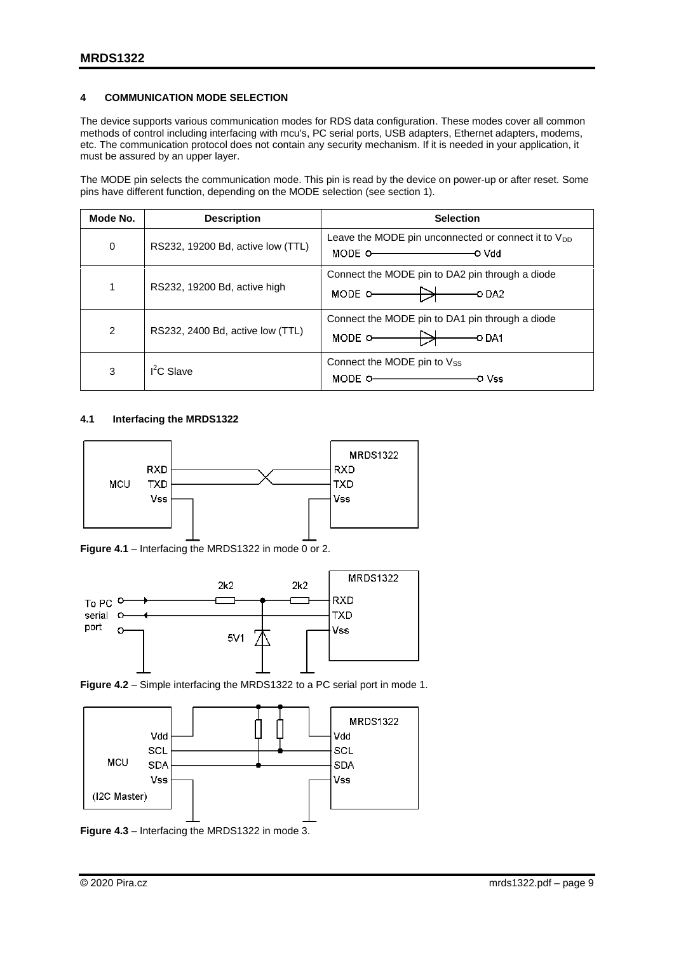## <span id="page-8-0"></span>**4 COMMUNICATION MODE SELECTION**

The device supports various communication modes for RDS data configuration. These modes cover all common methods of control including interfacing with mcu's, PC serial ports, USB adapters, Ethernet adapters, modems, etc. The communication protocol does not contain any security mechanism. If it is needed in your application, it must be assured by an upper layer.

The MODE pin selects the communication mode. This pin is read by the device on power-up or after reset. Some pins have different function, depending on the MODE selection (see section 1).

| Mode No. | <b>Description</b>                | <b>Selection</b>                                                                                        |
|----------|-----------------------------------|---------------------------------------------------------------------------------------------------------|
| 0        | RS232, 19200 Bd, active low (TTL) | Leave the MODE pin unconnected or connect it to $V_{DD}$<br>MODE O-CONTROLLER TO Vdd                    |
| 1        | RS232, 19200 Bd, active high      | Connect the MODE pin to DA2 pin through a diode<br>MODE $\circ$ DA2                                     |
| 2        | RS232, 2400 Bd, active low (TTL)  | Connect the MODE pin to DA1 pin through a diode<br>MODE $\circ$ $\rightarrow$ $\rightarrow$ $\circ$ DA1 |
| 3        | $I2C$ Slave                       | Connect the MODE pin to $V_{SS}$<br>o Vss                                                               |

#### <span id="page-8-1"></span>**4.1 Interfacing the MRDS1322**



**Figure 4.1** – Interfacing the MRDS1322 in mode 0 or 2.







**Figure 4.3** – Interfacing the MRDS1322 in mode 3.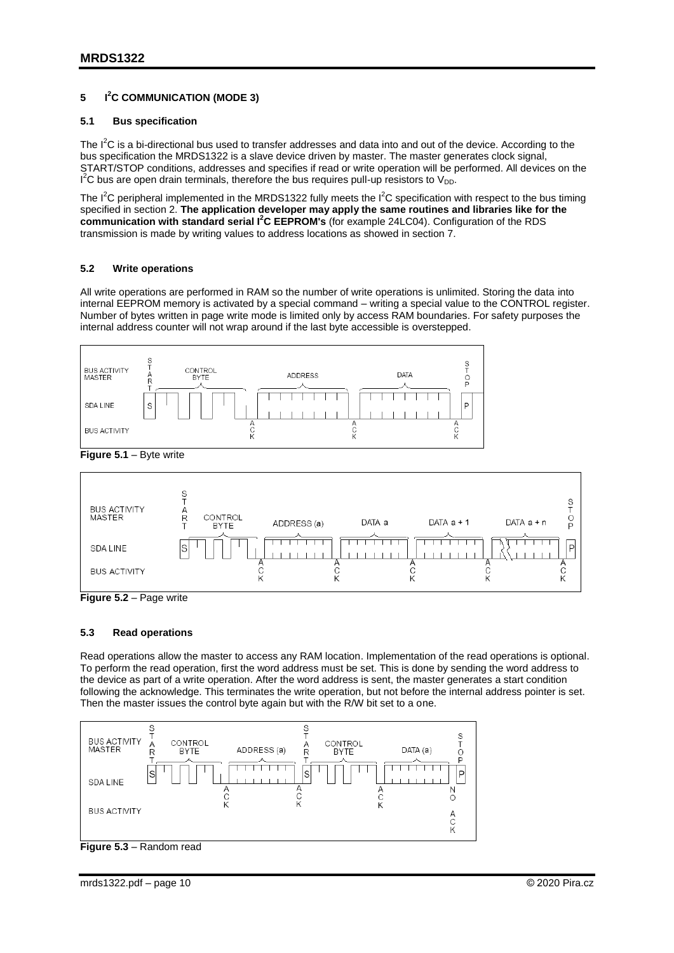#### <span id="page-9-0"></span>**5 I <sup>2</sup>C COMMUNICATION (MODE 3)**

#### <span id="page-9-1"></span>**5.1 Bus specification**

The  $I^2C$  is a bi-directional bus used to transfer addresses and data into and out of the device. According to the bus specification the MRDS1322 is a slave device driven by master. The master generates clock signal, START/STOP conditions, addresses and specifies if read or write operation will be performed. All devices on the  $I^2C$  bus are open drain terminals, therefore the bus requires pull-up resistors to V<sub>DD</sub>.

The  $I^2C$  peripheral implemented in the MRDS1322 fully meets the  $I^2C$  specification with respect to the bus timing specified in section 2. **The application developer may apply the same routines and libraries like for the communication with standard serial I <sup>2</sup>C EEPROM's** (for example 24LC04). Configuration of the RDS transmission is made by writing values to address locations as showed in section 7.

#### <span id="page-9-2"></span>**5.2 Write operations**

All write operations are performed in RAM so the number of write operations is unlimited. Storing the data into internal EEPROM memory is activated by a special command – writing a special value to the CONTROL register. Number of bytes written in page write mode is limited only by access RAM boundaries. For safety purposes the internal address counter will not wrap around if the last byte accessible is overstepped.





**Figure 5.2** – Page write

#### <span id="page-9-3"></span>**5.3 Read operations**

Read operations allow the master to access any RAM location. Implementation of the read operations is optional. To perform the read operation, first the word address must be set. This is done by sending the word address to the device as part of a write operation. After the word address is sent, the master generates a start condition following the acknowledge. This terminates the write operation, but not before the internal address pointer is set. Then the master issues the control byte again but with the R/W bit set to a one.



**Figure 5.3** – Random read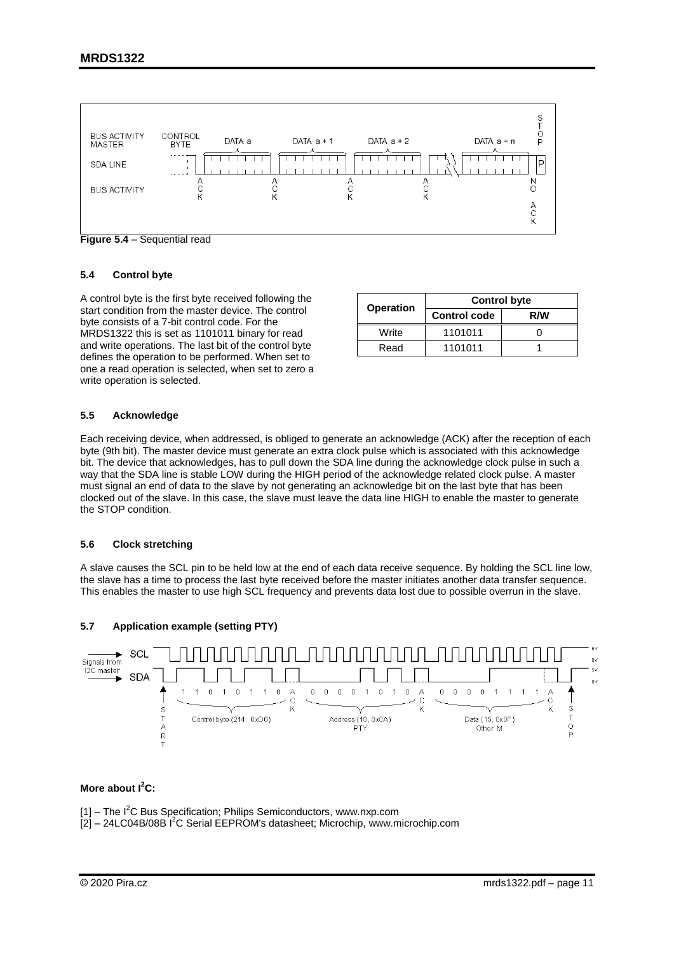

**Figure 5.4** – Sequential read

#### <span id="page-10-0"></span>**5.4 Control byte**

A control byte is the first byte received following the start condition from the master device. The control byte consists of a 7-bit control code. For the MRDS1322 this is set as 1101011 binary for read and write operations. The last bit of the control byte defines the operation to be performed. When set to one a read operation is selected, when set to zero a write operation is selected.

|                  | <b>Control byte</b> |     |  |  |
|------------------|---------------------|-----|--|--|
| <b>Operation</b> | <b>Control code</b> | R/W |  |  |
| Write            | 1101011             |     |  |  |
| Read             | 1101011             |     |  |  |

#### <span id="page-10-1"></span>**5.5 Acknowledge**

Each receiving device, when addressed, is obliged to generate an acknowledge (ACK) after the reception of each byte (9th bit). The master device must generate an extra clock pulse which is associated with this acknowledge bit. The device that acknowledges, has to pull down the SDA line during the acknowledge clock pulse in such a way that the SDA line is stable LOW during the HIGH period of the acknowledge related clock pulse. A master must signal an end of data to the slave by not generating an acknowledge bit on the last byte that has been clocked out of the slave. In this case, the slave must leave the data line HIGH to enable the master to generate the STOP condition.

#### <span id="page-10-2"></span>**5.6 Clock stretching**

A slave causes the SCL pin to be held low at the end of each data receive sequence. By holding the SCL line low, the slave has a time to process the last byte received before the master initiates another data transfer sequence. This enables the master to use high SCL frequency and prevents data lost due to possible overrun in the slave.

#### <span id="page-10-3"></span>**5.7 Application example (setting PTY)**



#### **More about I<sup>2</sup>C:**

 $[1]$  – The  $I^2C$  Bus Specification; Philips Semiconductors, www.nxp.com

[2] – 24LC04B/08B I<sup>2</sup>C Serial EEPROM's datasheet; Microchip, www.microchip.com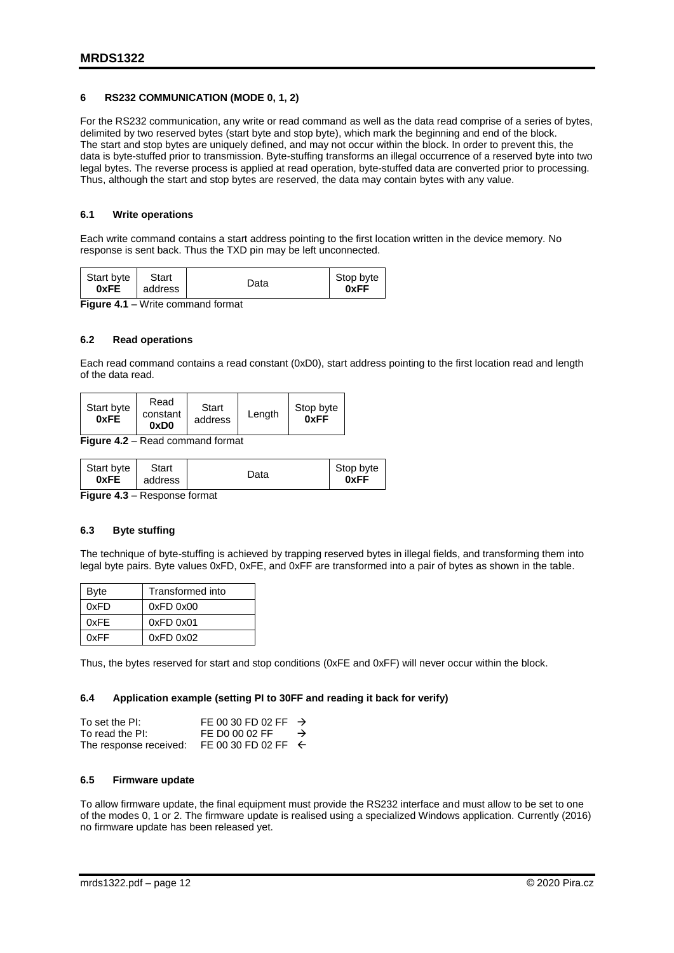### <span id="page-11-0"></span>**6 RS232 COMMUNICATION (MODE 0, 1, 2)**

For the RS232 communication, any write or read command as well as the data read comprise of a series of bytes, delimited by two reserved bytes (start byte and stop byte), which mark the beginning and end of the block. The start and stop bytes are uniquely defined, and may not occur within the block. In order to prevent this, the data is byte-stuffed prior to transmission. Byte-stuffing transforms an illegal occurrence of a reserved byte into two legal bytes. The reverse process is applied at read operation, byte-stuffed data are converted prior to processing. Thus, although the start and stop bytes are reserved, the data may contain bytes with any value.

### <span id="page-11-1"></span>**6.1 Write operations**

Each write command contains a start address pointing to the first location written in the device memory. No response is sent back. Thus the TXD pin may be left unconnected.

| Start byte<br>0xFE                               | Start<br>address | Data | Stop byte<br>0xFF |  |
|--------------------------------------------------|------------------|------|-------------------|--|
| <i>Mirita commond format</i><br><b>Ciausa 44</b> |                  |      |                   |  |

**Figure 4.1** – Write command format

#### <span id="page-11-2"></span>**6.2 Read operations**

Each read command contains a read constant (0xD0), start address pointing to the first location read and length of the data read.

| Start byte<br>0xFE | Read<br>constant<br>0xD0 | <b>Start</b><br>address | Lenath | Stop byte<br>0xFF |
|--------------------|--------------------------|-------------------------|--------|-------------------|
|--------------------|--------------------------|-------------------------|--------|-------------------|

**Figure 4.2** – Read command format

| Start byte | Start   | Data | Stop byte |
|------------|---------|------|-----------|
| 0xFE       | address |      | 0xFF      |
| --         |         |      |           |

**Figure 4.3** – Response format

#### <span id="page-11-3"></span>**6.3 Byte stuffing**

The technique of byte-stuffing is achieved by trapping reserved bytes in illegal fields, and transforming them into legal byte pairs. Byte values 0xFD, 0xFE, and 0xFF are transformed into a pair of bytes as shown in the table.

| Byte | Transformed into |  |
|------|------------------|--|
| 0xFD | $0xFD$ $0x00$    |  |
| 0xFF | $0xFD$ $0x01$    |  |
| 0xFF | $0xFD$ $0x02$    |  |

Thus, the bytes reserved for start and stop conditions (0xFE and 0xFF) will never occur within the block.

#### <span id="page-11-4"></span>**6.4 Application example (setting PI to 30FF and reading it back for verify)**

| To set the PI:         | FE 00 30 FD 02 FF $\rightarrow$ |               |
|------------------------|---------------------------------|---------------|
| To read the PI:        | FE D0 00 02 FF                  | $\rightarrow$ |
| The response received: | FE 00 30 FD 02 FF $\leftarrow$  |               |

#### <span id="page-11-5"></span>**6.5 Firmware update**

To allow firmware update, the final equipment must provide the RS232 interface and must allow to be set to one of the modes 0, 1 or 2. The firmware update is realised using a specialized Windows application. Currently (2016) no firmware update has been released yet.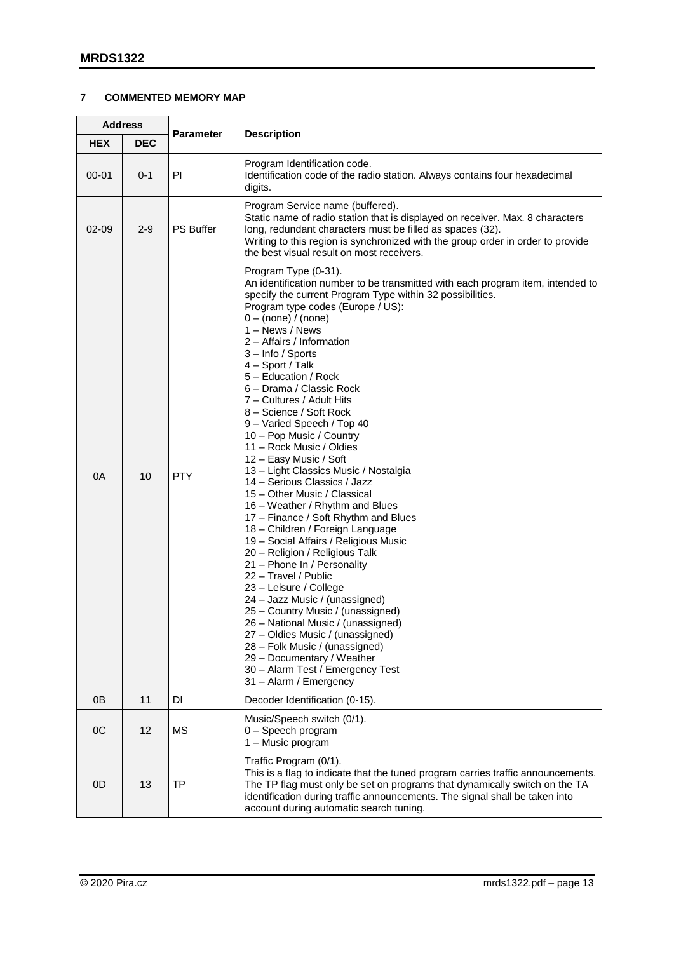## <span id="page-12-0"></span>**7 COMMENTED MEMORY MAP**

| <b>Address</b> |            |                  |                                                                                                                                                                                                                                                                                                                                                                                                                                                                                                                                                                                                                                                                                                                                                                                                                                                                                                                                                                                                                                                                                                                                                                                                                           |
|----------------|------------|------------------|---------------------------------------------------------------------------------------------------------------------------------------------------------------------------------------------------------------------------------------------------------------------------------------------------------------------------------------------------------------------------------------------------------------------------------------------------------------------------------------------------------------------------------------------------------------------------------------------------------------------------------------------------------------------------------------------------------------------------------------------------------------------------------------------------------------------------------------------------------------------------------------------------------------------------------------------------------------------------------------------------------------------------------------------------------------------------------------------------------------------------------------------------------------------------------------------------------------------------|
| <b>HEX</b>     | <b>DEC</b> | <b>Parameter</b> | <b>Description</b>                                                                                                                                                                                                                                                                                                                                                                                                                                                                                                                                                                                                                                                                                                                                                                                                                                                                                                                                                                                                                                                                                                                                                                                                        |
| $00 - 01$      | $0 - 1$    | PI               | Program Identification code.<br>Identification code of the radio station. Always contains four hexadecimal<br>digits.                                                                                                                                                                                                                                                                                                                                                                                                                                                                                                                                                                                                                                                                                                                                                                                                                                                                                                                                                                                                                                                                                                     |
| $02 - 09$      | $2 - 9$    | <b>PS Buffer</b> | Program Service name (buffered).<br>Static name of radio station that is displayed on receiver. Max. 8 characters<br>long, redundant characters must be filled as spaces (32).<br>Writing to this region is synchronized with the group order in order to provide<br>the best visual result on most receivers.                                                                                                                                                                                                                                                                                                                                                                                                                                                                                                                                                                                                                                                                                                                                                                                                                                                                                                            |
| 0A             | 10         | <b>PTY</b>       | Program Type (0-31).<br>An identification number to be transmitted with each program item, intended to<br>specify the current Program Type within 32 possibilities.<br>Program type codes (Europe / US):<br>$0 - (none) / (none)$<br>1 - News / News<br>2 - Affairs / Information<br>3 - Info / Sports<br>4 - Sport / Talk<br>5 - Education / Rock<br>6 - Drama / Classic Rock<br>7 - Cultures / Adult Hits<br>8 - Science / Soft Rock<br>9 - Varied Speech / Top 40<br>10 - Pop Music / Country<br>11 - Rock Music / Oldies<br>12 - Easy Music / Soft<br>13 – Light Classics Music / Nostalgia<br>14 - Serious Classics / Jazz<br>15 - Other Music / Classical<br>16 - Weather / Rhythm and Blues<br>17 - Finance / Soft Rhythm and Blues<br>18 - Children / Foreign Language<br>19 - Social Affairs / Religious Music<br>20 - Religion / Religious Talk<br>21 - Phone In / Personality<br>22 - Travel / Public<br>23 - Leisure / College<br>24 - Jazz Music / (unassigned)<br>25 - Country Music / (unassigned)<br>26 - National Music / (unassigned)<br>27 - Oldies Music / (unassigned)<br>28 - Folk Music / (unassigned)<br>29 - Documentary / Weather<br>30 - Alarm Test / Emergency Test<br>31 - Alarm / Emergency |
| 0 <sub>B</sub> | 11         | DI               | Decoder Identification (0-15).                                                                                                                                                                                                                                                                                                                                                                                                                                                                                                                                                                                                                                                                                                                                                                                                                                                                                                                                                                                                                                                                                                                                                                                            |
| OC             | 12         | MS               | Music/Speech switch (0/1).<br>0 - Speech program<br>1 - Music program                                                                                                                                                                                                                                                                                                                                                                                                                                                                                                                                                                                                                                                                                                                                                                                                                                                                                                                                                                                                                                                                                                                                                     |
| 0D             | 13         | TP               | Traffic Program (0/1).<br>This is a flag to indicate that the tuned program carries traffic announcements.<br>The TP flag must only be set on programs that dynamically switch on the TA<br>identification during traffic announcements. The signal shall be taken into<br>account during automatic search tuning.                                                                                                                                                                                                                                                                                                                                                                                                                                                                                                                                                                                                                                                                                                                                                                                                                                                                                                        |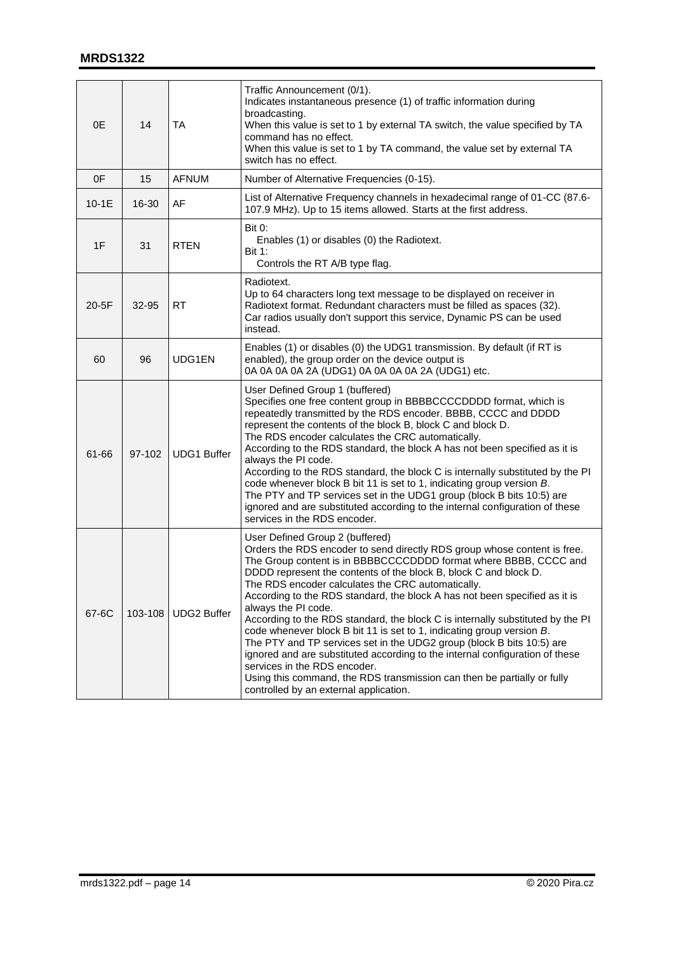| 0E      | 14      | TA                 | Traffic Announcement (0/1).<br>Indicates instantaneous presence (1) of traffic information during<br>broadcasting.<br>When this value is set to 1 by external TA switch, the value specified by TA<br>command has no effect.<br>When this value is set to 1 by TA command, the value set by external TA<br>switch has no effect.                                                                                                                                                                                                                                                                                                                                                                                                                                                                                                                                                       |
|---------|---------|--------------------|----------------------------------------------------------------------------------------------------------------------------------------------------------------------------------------------------------------------------------------------------------------------------------------------------------------------------------------------------------------------------------------------------------------------------------------------------------------------------------------------------------------------------------------------------------------------------------------------------------------------------------------------------------------------------------------------------------------------------------------------------------------------------------------------------------------------------------------------------------------------------------------|
| 0F      | 15      | <b>AFNUM</b>       | Number of Alternative Frequencies (0-15).                                                                                                                                                                                                                                                                                                                                                                                                                                                                                                                                                                                                                                                                                                                                                                                                                                              |
| $10-1E$ | 16-30   | AF                 | List of Alternative Frequency channels in hexadecimal range of 01-CC (87.6-<br>107.9 MHz). Up to 15 items allowed. Starts at the first address.                                                                                                                                                                                                                                                                                                                                                                                                                                                                                                                                                                                                                                                                                                                                        |
| 1F      | 31      | <b>RTEN</b>        | <b>Bit 0:</b><br>Enables (1) or disables (0) the Radiotext.<br><b>Bit 1:</b><br>Controls the RT A/B type flag.                                                                                                                                                                                                                                                                                                                                                                                                                                                                                                                                                                                                                                                                                                                                                                         |
| 20-5F   | 32-95   | <b>RT</b>          | Radiotext.<br>Up to 64 characters long text message to be displayed on receiver in<br>Radiotext format. Redundant characters must be filled as spaces (32).<br>Car radios usually don't support this service, Dynamic PS can be used<br>instead.                                                                                                                                                                                                                                                                                                                                                                                                                                                                                                                                                                                                                                       |
| 60      | 96      | UDG1EN             | Enables (1) or disables (0) the UDG1 transmission. By default (if RT is<br>enabled), the group order on the device output is<br>0A 0A 0A 0A 2A (UDG1) 0A 0A 0A 0A 2A (UDG1) etc.                                                                                                                                                                                                                                                                                                                                                                                                                                                                                                                                                                                                                                                                                                       |
| 61-66   | 97-102  | <b>UDG1 Buffer</b> | User Defined Group 1 (buffered)<br>Specifies one free content group in BBBBCCCCDDDD format, which is<br>repeatedly transmitted by the RDS encoder. BBBB, CCCC and DDDD<br>represent the contents of the block B, block C and block D.<br>The RDS encoder calculates the CRC automatically.<br>According to the RDS standard, the block A has not been specified as it is<br>always the PI code.<br>According to the RDS standard, the block C is internally substituted by the PI<br>code whenever block B bit 11 is set to 1, indicating group version B.<br>The PTY and TP services set in the UDG1 group (block B bits 10:5) are<br>ignored and are substituted according to the internal configuration of these<br>services in the RDS encoder.                                                                                                                                    |
| 67-6C   | 103-108 | <b>UDG2 Buffer</b> | User Defined Group 2 (buffered)<br>Orders the RDS encoder to send directly RDS group whose content is free.<br>The Group content is in BBBBCCCCDDDD format where BBBB, CCCC and<br>DDDD represent the contents of the block B, block C and block D.<br>The RDS encoder calculates the CRC automatically.<br>According to the RDS standard, the block A has not been specified as it is<br>always the PI code.<br>According to the RDS standard, the block C is internally substituted by the PI<br>code whenever block B bit 11 is set to 1, indicating group version B.<br>The PTY and TP services set in the UDG2 group (block B bits 10:5) are<br>ignored and are substituted according to the internal configuration of these<br>services in the RDS encoder.<br>Using this command, the RDS transmission can then be partially or fully<br>controlled by an external application. |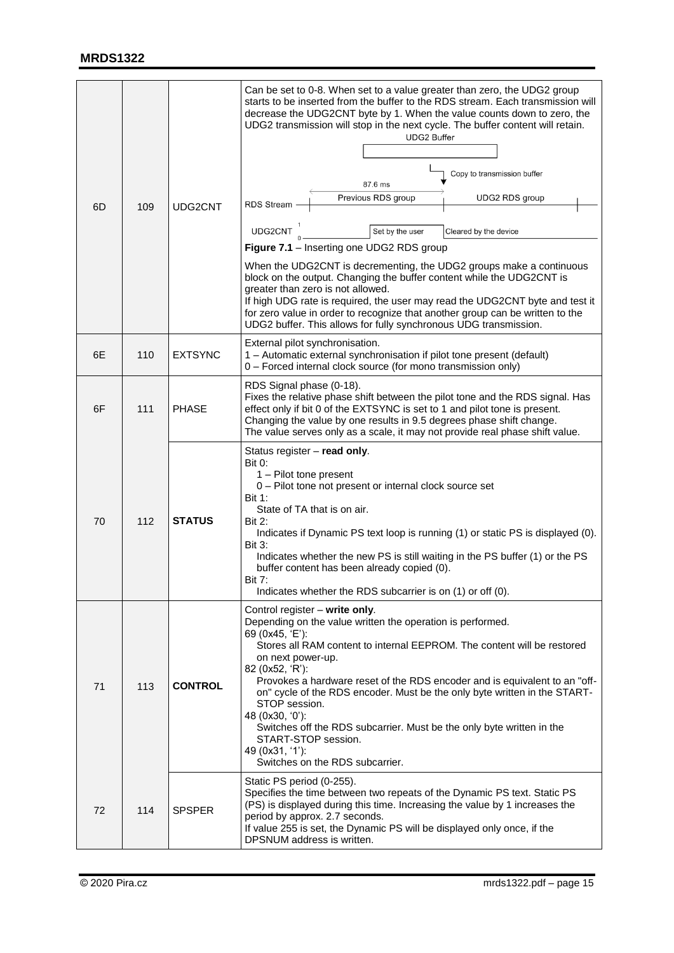| 6D | 109 | UDG2CNT        | Can be set to 0-8. When set to a value greater than zero, the UDG2 group<br>starts to be inserted from the buffer to the RDS stream. Each transmission will<br>decrease the UDG2CNT byte by 1. When the value counts down to zero, the<br>UDG2 transmission will stop in the next cycle. The buffer content will retain.<br><b>UDG2 Buffer</b><br>Copy to transmission buffer<br>87.6 ms<br>Previous RDS group<br>UDG2 RDS group<br>RDS Stream -<br>UDG2CNT <sup>1</sup><br>Set by the user<br>Cleared by the device<br>Figure 7.1 - Inserting one UDG2 RDS group<br>When the UDG2CNT is decrementing, the UDG2 groups make a continuous<br>block on the output. Changing the buffer content while the UDG2CNT is<br>greater than zero is not allowed.<br>If high UDG rate is required, the user may read the UDG2CNT byte and test it<br>for zero value in order to recognize that another group can be written to the<br>UDG2 buffer. This allows for fully synchronous UDG transmission. |
|----|-----|----------------|---------------------------------------------------------------------------------------------------------------------------------------------------------------------------------------------------------------------------------------------------------------------------------------------------------------------------------------------------------------------------------------------------------------------------------------------------------------------------------------------------------------------------------------------------------------------------------------------------------------------------------------------------------------------------------------------------------------------------------------------------------------------------------------------------------------------------------------------------------------------------------------------------------------------------------------------------------------------------------------------|
| 6E | 110 | <b>EXTSYNC</b> | External pilot synchronisation.<br>1 - Automatic external synchronisation if pilot tone present (default)<br>0 - Forced internal clock source (for mono transmission only)                                                                                                                                                                                                                                                                                                                                                                                                                                                                                                                                                                                                                                                                                                                                                                                                                  |
| 6F | 111 | <b>PHASE</b>   | RDS Signal phase (0-18).<br>Fixes the relative phase shift between the pilot tone and the RDS signal. Has<br>effect only if bit 0 of the EXTSYNC is set to 1 and pilot tone is present.<br>Changing the value by one results in 9.5 degrees phase shift change.<br>The value serves only as a scale, it may not provide real phase shift value.                                                                                                                                                                                                                                                                                                                                                                                                                                                                                                                                                                                                                                             |
| 70 | 112 | <b>STATUS</b>  | Status register - read only.<br><b>Bit 0:</b><br>1 - Pilot tone present<br>0 - Pilot tone not present or internal clock source set<br><b>Bit 1:</b><br>State of TA that is on air.<br>Bit 2:<br>Indicates if Dynamic PS text loop is running (1) or static PS is displayed (0).<br><b>Bit 3:</b><br>Indicates whether the new PS is still waiting in the PS buffer (1) or the PS<br>buffer content has been already copied (0).<br><b>Bit 7:</b><br>Indicates whether the RDS subcarrier is on (1) or off (0).                                                                                                                                                                                                                                                                                                                                                                                                                                                                              |
| 71 | 113 | <b>CONTROL</b> | Control register - write only.<br>Depending on the value written the operation is performed.<br>69 (0x45, 'E'):<br>Stores all RAM content to internal EEPROM. The content will be restored<br>on next power-up.<br>82 (0x52, 'R'):<br>Provokes a hardware reset of the RDS encoder and is equivalent to an "off-<br>on" cycle of the RDS encoder. Must be the only byte written in the START-<br>STOP session.<br>48 (0x30, '0'):<br>Switches off the RDS subcarrier. Must be the only byte written in the<br>START-STOP session.<br>49 (0x31, '1'):<br>Switches on the RDS subcarrier.                                                                                                                                                                                                                                                                                                                                                                                                     |
| 72 | 114 | <b>SPSPER</b>  | Static PS period (0-255).<br>Specifies the time between two repeats of the Dynamic PS text. Static PS<br>(PS) is displayed during this time. Increasing the value by 1 increases the<br>period by approx. 2.7 seconds.<br>If value 255 is set, the Dynamic PS will be displayed only once, if the<br>DPSNUM address is written.                                                                                                                                                                                                                                                                                                                                                                                                                                                                                                                                                                                                                                                             |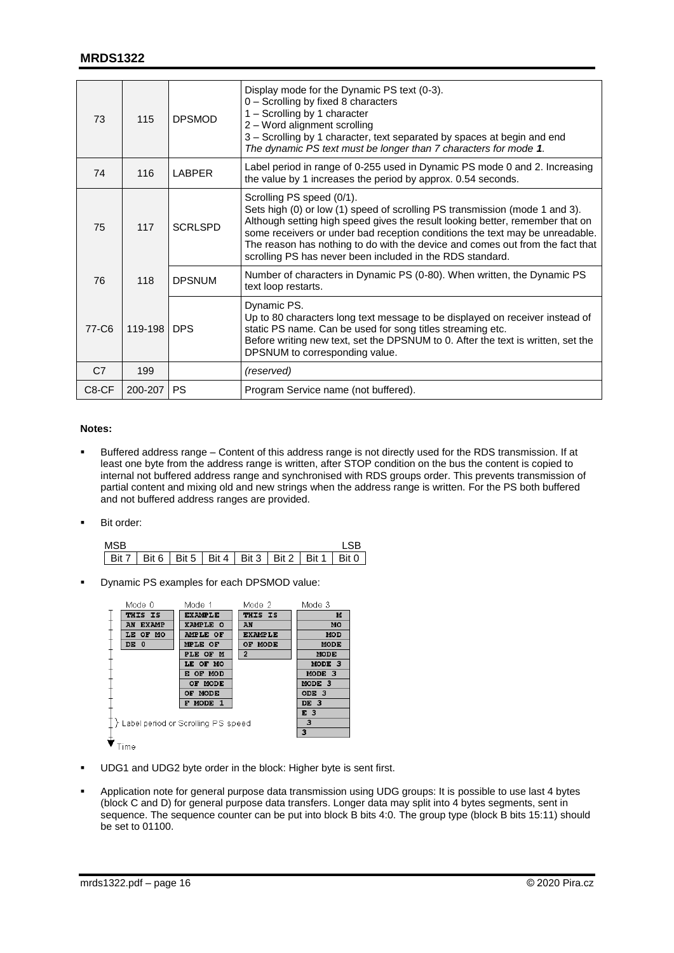## **MRDS1322**

| 73    | 115     | <b>DPSMOD</b>  | Display mode for the Dynamic PS text (0-3).<br>0 - Scrolling by fixed 8 characters<br>1 - Scrolling by 1 character<br>2 - Word alignment scrolling<br>3 - Scrolling by 1 character, text separated by spaces at begin and end<br>The dynamic PS text must be longer than 7 characters for mode 1.                                                                                                                       |
|-------|---------|----------------|-------------------------------------------------------------------------------------------------------------------------------------------------------------------------------------------------------------------------------------------------------------------------------------------------------------------------------------------------------------------------------------------------------------------------|
| 74    | 116     | <b>LABPER</b>  | Label period in range of 0-255 used in Dynamic PS mode 0 and 2. Increasing<br>the value by 1 increases the period by approx. 0.54 seconds.                                                                                                                                                                                                                                                                              |
| 75    | 117     | <b>SCRLSPD</b> | Scrolling PS speed (0/1).<br>Sets high (0) or low (1) speed of scrolling PS transmission (mode 1 and 3).<br>Although setting high speed gives the result looking better, remember that on<br>some receivers or under bad reception conditions the text may be unreadable.<br>The reason has nothing to do with the device and comes out from the fact that<br>scrolling PS has never been included in the RDS standard. |
| 76    | 118     | <b>DPSNUM</b>  | Number of characters in Dynamic PS (0-80). When written, the Dynamic PS<br>text loop restarts.                                                                                                                                                                                                                                                                                                                          |
| 77-C6 | 119-198 | <b>DPS</b>     | Dynamic PS.<br>Up to 80 characters long text message to be displayed on receiver instead of<br>static PS name. Can be used for song titles streaming etc.<br>Before writing new text, set the DPSNUM to 0. After the text is written, set the<br>DPSNUM to corresponding value.                                                                                                                                         |
| C7    | 199     |                | (reserved)                                                                                                                                                                                                                                                                                                                                                                                                              |
| C8-CF | 200-207 | <b>PS</b>      | Program Service name (not buffered).                                                                                                                                                                                                                                                                                                                                                                                    |

#### **Notes:**

- Buffered address range Content of this address range is not directly used for the RDS transmission. If at least one byte from the address range is written, after STOP condition on the bus the content is copied to internal not buffered address range and synchronised with RDS groups order. This prevents transmission of partial content and mixing old and new strings when the address range is written. For the PS both buffered and not buffered address ranges are provided.
- Bit order:

| MSB |                                                               |  |  |  |
|-----|---------------------------------------------------------------|--|--|--|
|     | Bit 7   Bit 6   Bit 5   Bit 4   Bit 3   Bit 2   Bit 1   Bit 0 |  |  |  |

Dynamic PS examples for each DPSMOD value:

| Mode 0                               | Mode 1         | Mode 2         | Mode 3            |
|--------------------------------------|----------------|----------------|-------------------|
| THIS IS                              | <b>EXAMPLE</b> | THIS IS        | M                 |
| AN EXAMP                             | XAMPLE O       | AN             | MO                |
| LE OF MO                             | AMPLE OF       | <b>EXAMPLE</b> | <b>MOD</b>        |
| DE 0                                 | MPLE OF        | OF MODE        | MODE              |
|                                      | PLE OF M       | $\overline{2}$ | MODE              |
|                                      | LE OF MO       |                | MODE <sub>3</sub> |
|                                      | E OF MOD       |                | MODE 3            |
|                                      | OF MODE        |                | MODE 3            |
|                                      | OF MODE        |                | ODE <sub>3</sub>  |
|                                      | F MODE 1       |                | DE 3              |
|                                      | E <sub>3</sub> |                |                   |
| ≻ Label period or Scrolling PS speed | з              |                |                   |
|                                      |                |                | 3                 |

- $\blacktriangledown$  Time
- UDG1 and UDG2 byte order in the block: Higher byte is sent first.
- Application note for general purpose data transmission using UDG groups: It is possible to use last 4 bytes (block C and D) for general purpose data transfers. Longer data may split into 4 bytes segments, sent in sequence. The sequence counter can be put into block B bits 4:0. The group type (block B bits 15:11) should be set to 01100.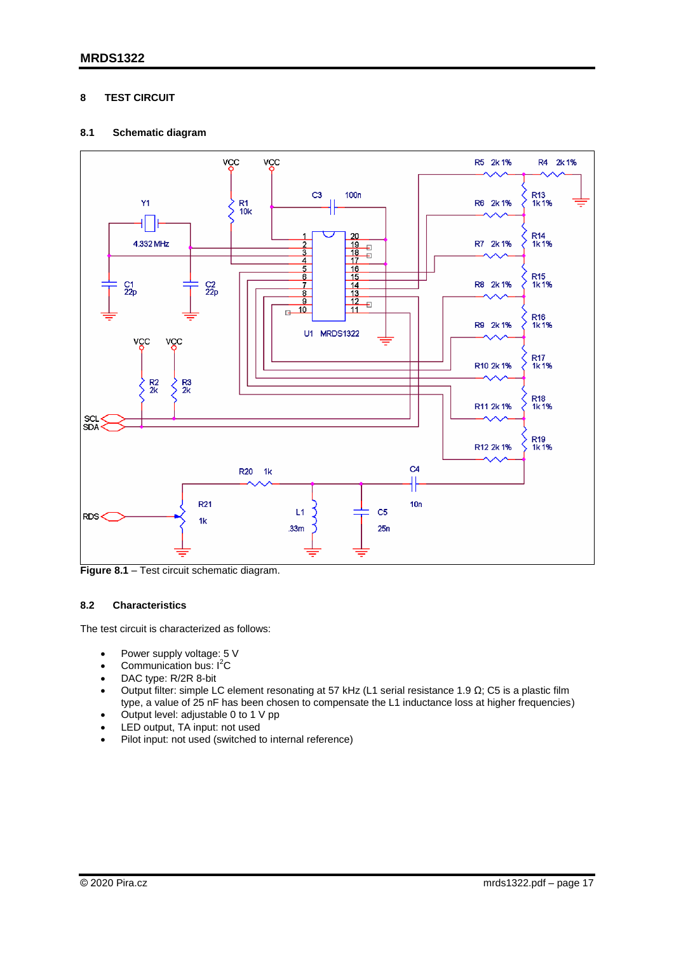## <span id="page-16-0"></span>**8 TEST CIRCUIT**

## <span id="page-16-1"></span>**8.1 Schematic diagram**



**Figure 8.1 – Test circuit schematic diagram.** 

## <span id="page-16-2"></span>**8.2 Characteristics**

The test circuit is characterized as follows:

- Power supply voltage: 5 V
- Communication bus:  $I^2C$
- DAC type: R/2R 8-bit
- Output filter: simple LC element resonating at 57 kHz (L1 serial resistance 1.9 Ω; C5 is a plastic film type, a value of 25 nF has been chosen to compensate the L1 inductance loss at higher frequencies)
- Output level: adjustable 0 to 1 V pp
- LED output, TA input: not used
- Pilot input: not used (switched to internal reference)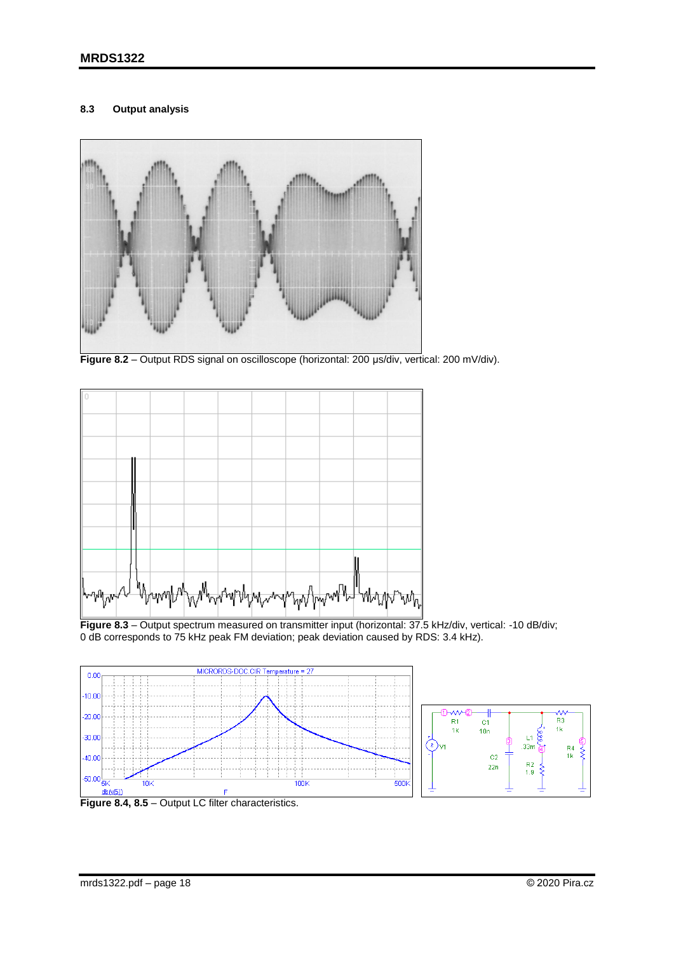## <span id="page-17-0"></span>**8.3 Output analysis**



Figure 8.2 – Output RDS signal on oscilloscope (horizontal: 200 µs/div, vertical: 200 mV/div).



**Figure 8.3** – Output spectrum measured on transmitter input (horizontal: 37.5 kHz/div, vertical: -10 dB/div; 0 dB corresponds to 75 kHz peak FM deviation; peak deviation caused by RDS: 3.4 kHz).



Figure 8.4, 8.5 – Output LC filter characteristics.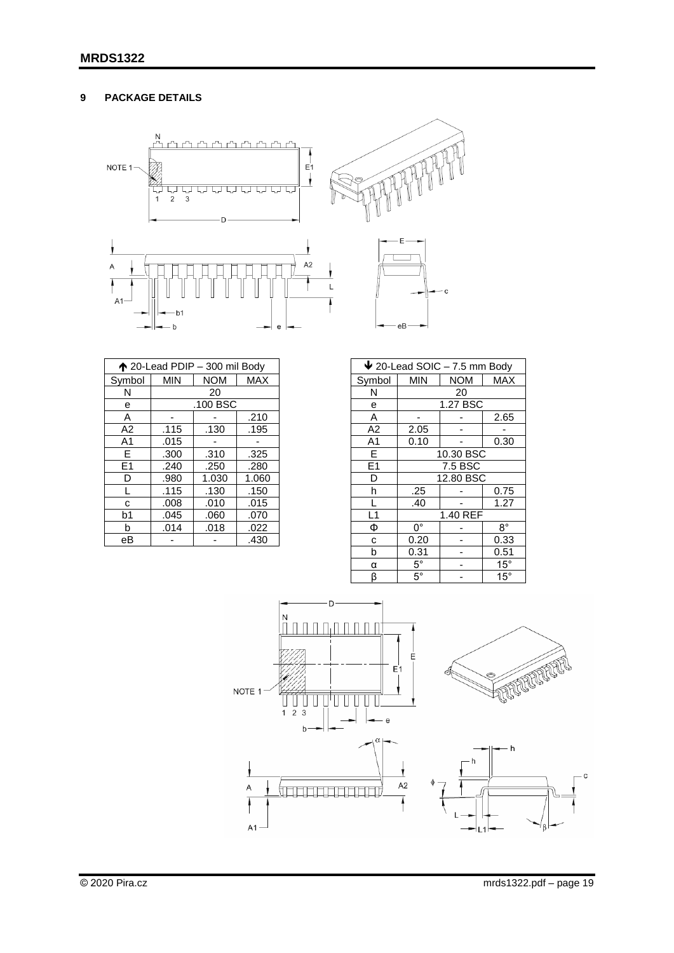# <span id="page-18-0"></span>**9 PACKAGE DETAILS**



| ↑ 20-Lead PDIP - 300 mil Body |            |            |       |  |  |
|-------------------------------|------------|------------|-------|--|--|
| Symbol                        | <b>MIN</b> | <b>NOM</b> | MAX   |  |  |
| N                             |            | 20         |       |  |  |
| e                             |            | .100 BSC   |       |  |  |
| Α                             |            |            | .210  |  |  |
| A <sub>2</sub>                | .115       | .130       | .195  |  |  |
| A <sub>1</sub>                | .015       |            |       |  |  |
| E                             | .300       | .310       | .325  |  |  |
| E1                            | .240       | .250       | .280  |  |  |
| D                             | .980       | 1.030      | 1.060 |  |  |
| L                             | .115       | .130       | .150  |  |  |
| C                             | .008       | .010       | .015  |  |  |
| b <sub>1</sub>                | .045       | .060       | .070  |  |  |
| b                             | .014       | .018       | .022  |  |  |
| eВ                            |            |            | .430  |  |  |

| $\bigvee$ 20-Lead SOIC - 7.5 mm Body |                                        |           |              |  |  |
|--------------------------------------|----------------------------------------|-----------|--------------|--|--|
| Symbol                               | <b>MIN</b><br><b>MAX</b><br><b>NOM</b> |           |              |  |  |
| N                                    |                                        | 20        |              |  |  |
| е                                    |                                        | 1.27 BSC  |              |  |  |
| A                                    |                                        |           | 2.65         |  |  |
| A2                                   | 2.05                                   |           |              |  |  |
| $\overline{A1}$                      | 0.10                                   |           | 0.30         |  |  |
| E                                    | 10.30 BSC                              |           |              |  |  |
| E <sub>1</sub>                       | 7.5 BSC                                |           |              |  |  |
| D                                    |                                        | 12.80 BSC |              |  |  |
| h                                    | .25                                    |           | 0.75         |  |  |
|                                      | .40                                    |           | 1.27         |  |  |
| $\overline{L1}$                      |                                        | 1.40 REF  |              |  |  |
| Ф                                    | $\overline{0^{\circ}}$                 |           | $8^{\circ}$  |  |  |
| C                                    | 0.20                                   |           | 0.33         |  |  |
| b                                    | 0.31                                   |           | 0.51         |  |  |
| α                                    | $5^{\circ}$<br>$15^{\circ}$            |           |              |  |  |
| β                                    | $5^{\circ}$                            |           | $15^{\circ}$ |  |  |